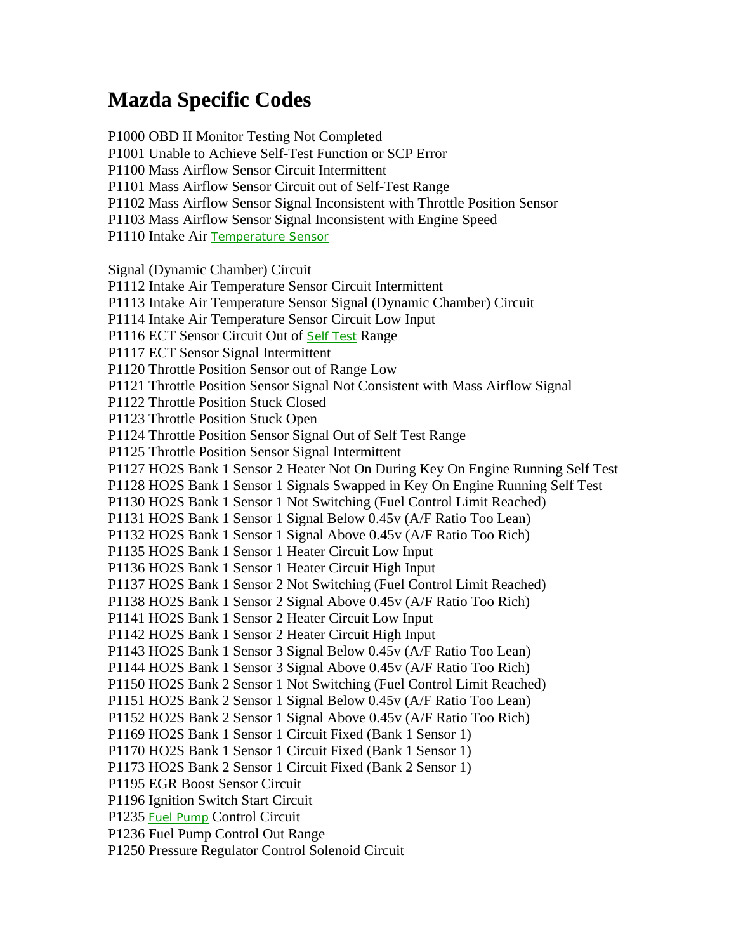## **Mazda Specific Codes**

P1000 OBD II Monitor Testing Not Completed P1001 Unable to Achieve Self-Test Function or SCP Error P1100 Mass Airflow Sensor Circuit Intermittent P1101 Mass Airflow Sensor Circuit out of Self-Test Range P1102 Mass Airflow Sensor Signal Inconsistent with Throttle Position Sensor P1103 Mass Airflow Sensor Signal Inconsistent with Engine Speed P1110 Intake Air Temperature Sensor Signal (Dynamic Chamber) Circuit P1112 Intake Air Temperature Sensor Circuit Intermittent P1113 Intake Air Temperature Sensor Signal (Dynamic Chamber) Circuit P1114 Intake Air Temperature Sensor Circuit Low Input P1116 ECT Sensor Circuit Out of Self Test Range P1117 ECT Sensor Signal Intermittent P1120 Throttle Position Sensor out of Range Low P1121 Throttle Position Sensor Signal Not Consistent with Mass Airflow Signal P1122 Throttle Position Stuck Closed P1123 Throttle Position Stuck Open P1124 Throttle Position Sensor Signal Out of Self Test Range P1125 Throttle Position Sensor Signal Intermittent P1127 HO2S Bank 1 Sensor 2 Heater Not On During Key On Engine Running Self Test P1128 HO2S Bank 1 Sensor 1 Signals Swapped in Key On Engine Running Self Test P1130 HO2S Bank 1 Sensor 1 Not Switching (Fuel Control Limit Reached) P1131 HO2S Bank 1 Sensor 1 Signal Below 0.45v (A/F Ratio Too Lean) P1132 HO2S Bank 1 Sensor 1 Signal Above 0.45v (A/F Ratio Too Rich) P1135 HO2S Bank 1 Sensor 1 Heater Circuit Low Input P1136 HO2S Bank 1 Sensor 1 Heater Circuit High Input P1137 HO2S Bank 1 Sensor 2 Not Switching (Fuel Control Limit Reached) P1138 HO2S Bank 1 Sensor 2 Signal Above 0.45v (A/F Ratio Too Rich) P1141 HO2S Bank 1 Sensor 2 Heater Circuit Low Input P1142 HO2S Bank 1 Sensor 2 Heater Circuit High Input P1143 HO2S Bank 1 Sensor 3 Signal Below 0.45v (A/F Ratio Too Lean) P1144 HO2S Bank 1 Sensor 3 Signal Above 0.45v (A/F Ratio Too Rich) P1150 HO2S Bank 2 Sensor 1 Not Switching (Fuel Control Limit Reached) P1151 HO2S Bank 2 Sensor 1 Signal Below 0.45v (A/F Ratio Too Lean) P1152 HO2S Bank 2 Sensor 1 Signal Above 0.45v (A/F Ratio Too Rich) P1169 HO2S Bank 1 Sensor 1 Circuit Fixed (Bank 1 Sensor 1) P1170 HO2S Bank 1 Sensor 1 Circuit Fixed (Bank 1 Sensor 1) P1173 HO2S Bank 2 Sensor 1 Circuit Fixed (Bank 2 Sensor 1) P1195 EGR Boost Sensor Circuit P1196 Ignition Switch Start Circuit P1235 Fuel Pump Control Circuit P1236 Fuel Pump Control Out Range P1250 Pressure Regulator Control Solenoid Circuit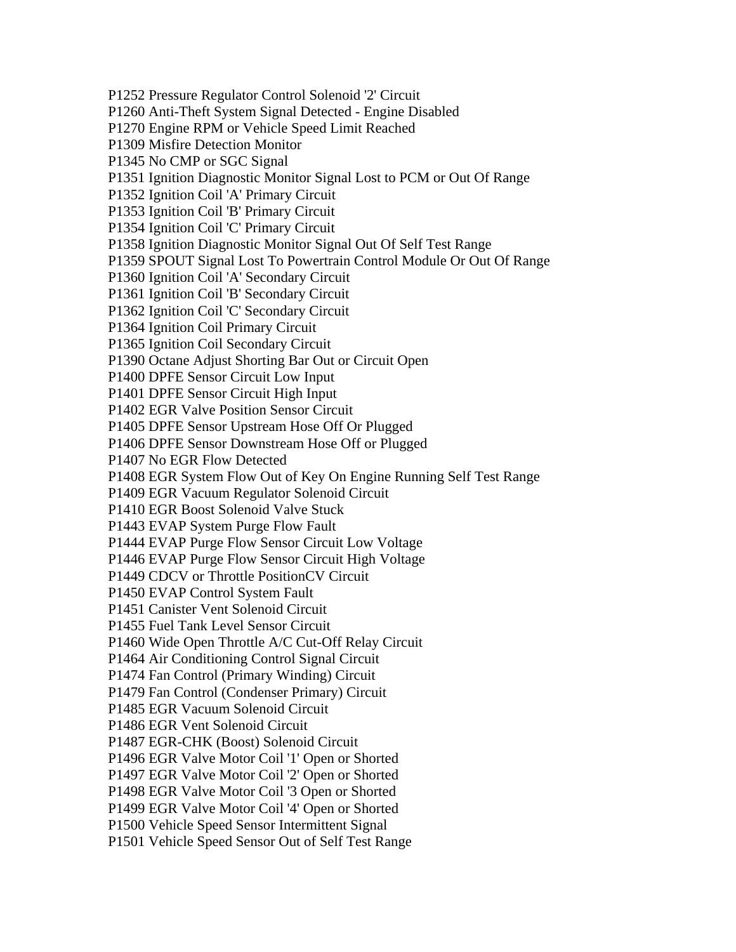P1252 Pressure Regulator Control Solenoid '2' Circuit P1260 Anti-Theft System Signal Detected - Engine Disabled P1270 Engine RPM or Vehicle Speed Limit Reached P1309 Misfire Detection Monitor P1345 No CMP or SGC Signal P1351 Ignition Diagnostic Monitor Signal Lost to PCM or Out Of Range P1352 Ignition Coil 'A' Primary Circuit P1353 Ignition Coil 'B' Primary Circuit P1354 Ignition Coil 'C' Primary Circuit P1358 Ignition Diagnostic Monitor Signal Out Of Self Test Range P1359 SPOUT Signal Lost To Powertrain Control Module Or Out Of Range P1360 Ignition Coil 'A' Secondary Circuit P1361 Ignition Coil 'B' Secondary Circuit P1362 Ignition Coil 'C' Secondary Circuit P1364 Ignition Coil Primary Circuit P1365 Ignition Coil Secondary Circuit P1390 Octane Adjust Shorting Bar Out or Circuit Open P1400 DPFE Sensor Circuit Low Input P1401 DPFE Sensor Circuit High Input P1402 EGR Valve Position Sensor Circuit P1405 DPFE Sensor Upstream Hose Off Or Plugged P1406 DPFE Sensor Downstream Hose Off or Plugged P1407 No EGR Flow Detected P1408 EGR System Flow Out of Key On Engine Running Self Test Range P1409 EGR Vacuum Regulator Solenoid Circuit P1410 EGR Boost Solenoid Valve Stuck P1443 EVAP System Purge Flow Fault P1444 EVAP Purge Flow Sensor Circuit Low Voltage P1446 EVAP Purge Flow Sensor Circuit High Voltage P1449 CDCV or Throttle PositionCV Circuit P1450 EVAP Control System Fault P1451 Canister Vent Solenoid Circuit P1455 Fuel Tank Level Sensor Circuit P1460 Wide Open Throttle A/C Cut-Off Relay Circuit P1464 Air Conditioning Control Signal Circuit P1474 Fan Control (Primary Winding) Circuit P1479 Fan Control (Condenser Primary) Circuit P1485 EGR Vacuum Solenoid Circuit P1486 EGR Vent Solenoid Circuit P1487 EGR-CHK (Boost) Solenoid Circuit P1496 EGR Valve Motor Coil '1' Open or Shorted P1497 EGR Valve Motor Coil '2' Open or Shorted P1498 EGR Valve Motor Coil '3 Open or Shorted P1499 EGR Valve Motor Coil '4' Open or Shorted P1500 Vehicle Speed Sensor Intermittent Signal P1501 Vehicle Speed Sensor Out of Self Test Range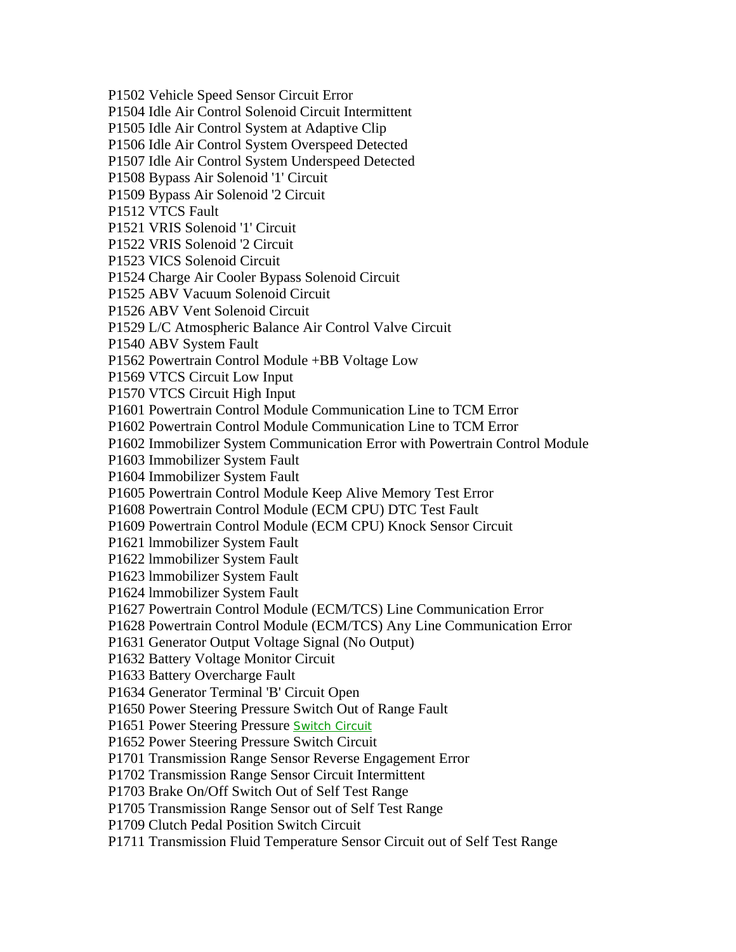P1502 Vehicle Speed Sensor Circuit Error P1504 Idle Air Control Solenoid Circuit Intermittent P1505 Idle Air Control System at Adaptive Clip P1506 Idle Air Control System Overspeed Detected P1507 Idle Air Control System Underspeed Detected P1508 Bypass Air Solenoid '1' Circuit P1509 Bypass Air Solenoid '2 Circuit P1512 VTCS Fault P1521 VRIS Solenoid '1' Circuit P1522 VRIS Solenoid '2 Circuit P1523 VICS Solenoid Circuit P1524 Charge Air Cooler Bypass Solenoid Circuit P1525 ABV Vacuum Solenoid Circuit P1526 ABV Vent Solenoid Circuit P1529 L/C Atmospheric Balance Air Control Valve Circuit P1540 ABV System Fault P1562 Powertrain Control Module +BB Voltage Low P1569 VTCS Circuit Low Input P1570 VTCS Circuit High Input P1601 Powertrain Control Module Communication Line to TCM Error P1602 Powertrain Control Module Communication Line to TCM Error P1602 Immobilizer System Communication Error with Powertrain Control Module P1603 Immobilizer System Fault P1604 Immobilizer System Fault P1605 Powertrain Control Module Keep Alive Memory Test Error P1608 Powertrain Control Module (ECM CPU) DTC Test Fault P1609 Powertrain Control Module (ECM CPU) Knock Sensor Circuit P1621 lmmobilizer System Fault P1622 lmmobilizer System Fault P1623 lmmobilizer System Fault P1624 lmmobilizer System Fault P1627 Powertrain Control Module (ECM/TCS) Line Communication Error P1628 Powertrain Control Module (ECM/TCS) Any Line Communication Error P1631 Generator Output Voltage Signal (No Output) P1632 Battery Voltage Monitor Circuit P1633 Battery Overcharge Fault P1634 Generator Terminal 'B' Circuit Open P1650 Power Steering Pressure Switch Out of Range Fault P1651 Power Steering Pressure Switch Circuit P1652 Power Steering Pressure Switch Circuit P1701 Transmission Range Sensor Reverse Engagement Error P1702 Transmission Range Sensor Circuit Intermittent P1703 Brake On/Off Switch Out of Self Test Range P1705 Transmission Range Sensor out of Self Test Range P1709 Clutch Pedal Position Switch Circuit P1711 Transmission Fluid Temperature Sensor Circuit out of Self Test Range